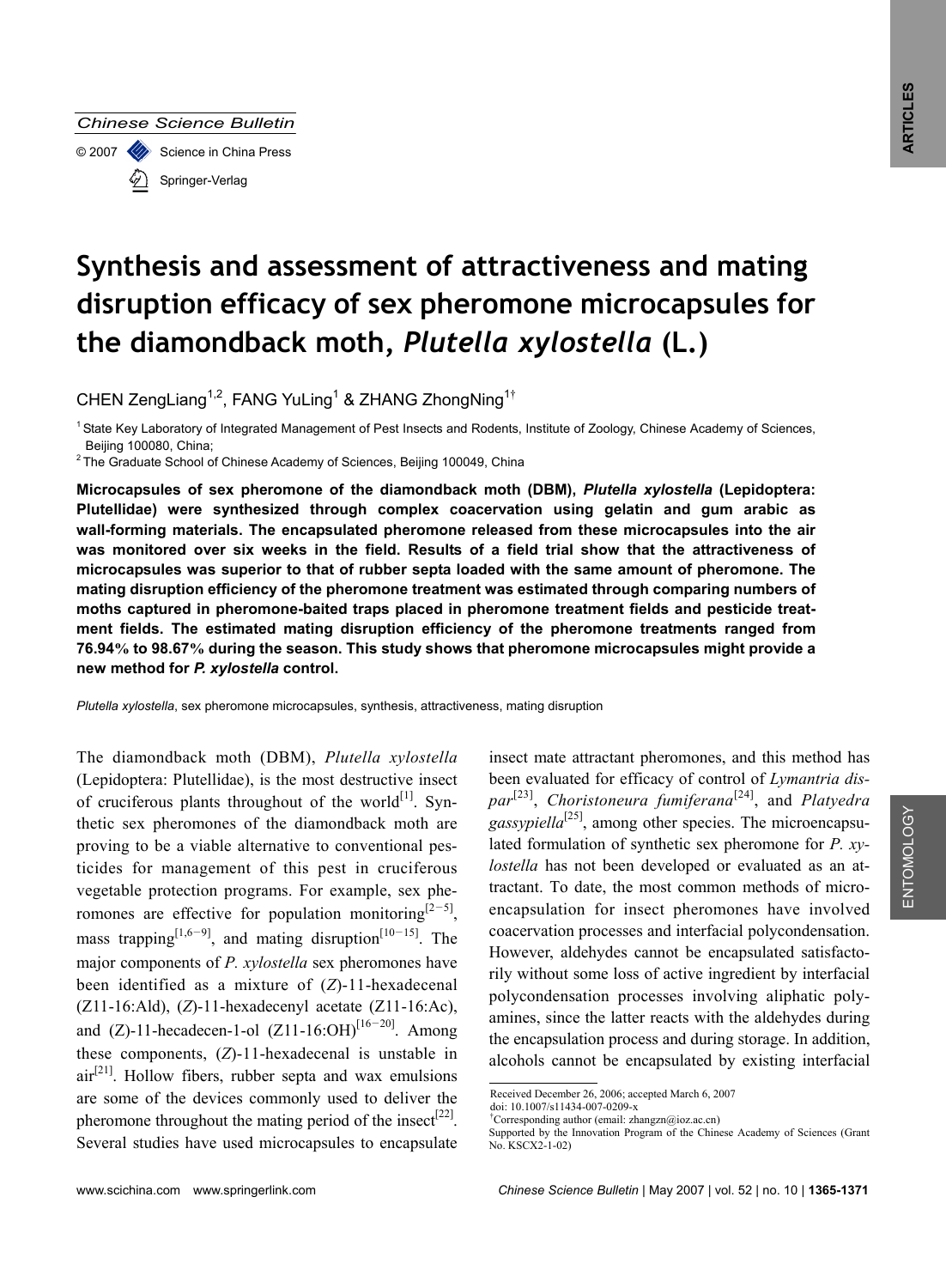#### *Chinese Science Bulletin*

© 2007 Science in China Press Springer-Verlag

# **Synthesis and assessment of attractiveness and mating disruption efficacy of sex pheromone microcapsules for the diamondback moth,** *Plutella xylostella* **(L.)**

CHEN ZengLiang<sup>1,2</sup>, FANG YuLing<sup>1</sup> & ZHANG ZhongNing<sup>1†</sup>

<sup>1</sup> State Key Laboratory of Integrated Management of Pest Insects and Rodents, Institute of Zoology, Chinese Academy of Sciences, Beijing 100080, China;

<sup>2</sup> The Graduate School of Chinese Academy of Sciences, Beijing 100049, China

**Microcapsules of sex pheromone of the diamondback moth (DBM),** *Plutella xylostella* **(Lepidoptera: Plutellidae) were synthesized through complex coacervation using gelatin and gum arabic as wall-forming materials. The encapsulated pheromone released from these microcapsules into the air was monitored over six weeks in the field. Results of a field trial show that the attractiveness of microcapsules was superior to that of rubber septa loaded with the same amount of pheromone. The mating disruption efficiency of the pheromone treatment was estimated through comparing numbers of moths captured in pheromone-baited traps placed in pheromone treatment fields and pesticide treatment fields. The estimated mating disruption efficiency of the pheromone treatments ranged from 76.94% to 98.67% during the season. This study shows that pheromone microcapsules might provide a new method for** *P. xylostella* **control.**

*Plutella xylostella*, sex pheromone microcapsules, synthesis, attractiveness, mating disruption

The diamondback moth (DBM), *Plutella xylostella* (Lepidoptera: Plutellidae), is the most destructive insect of cruciferous plants throughout of the world<sup>[1]</sup>. Synthetic sex pheromones of the diamondback moth are proving to be a viable alternative to conventional pesticides for management of this pest in cruciferous vegetable protection programs. For example, sex pheromones are effective for population monitoring<sup>[2-5]</sup>, mass trapping<sup>[1,6–9]</sup>, and mating disruption<sup>[10–15]</sup>. The major components of *P. xylostella* sex pheromones have been identified as a mixture of (*Z*)-11-hexadecenal (Z11-16:Ald), (*Z*)-11-hexadecenyl acetate (Z11-16:Ac), and (Z)-11-hecadecen-1-ol  $(Z11-16:OH)^{[16-20]}$ . Among these components, (*Z*)-11-hexadecenal is unstable in  $air^{[21]}$ . Hollow fibers, rubber septa and wax emulsions are some of the devices commonly used to deliver the pheromone throughout the mating period of the insect<sup>[22]</sup>. Several studies have used microcapsules to encapsulate

insect mate attractant pheromones, and this method has been evaluated for efficacy of control of *Lymantria dispar*[23], *Choristoneura fumiferana*[24], and *Platyedra gassypiella*[25], among other species. The microencapsulated formulation of synthetic sex pheromone for *P. xylostella* has not been developed or evaluated as an attractant. To date, the most common methods of microencapsulation for insect pheromones have involved coacervation processes and interfacial polycondensation. However, aldehydes cannot be encapsulated satisfactorily without some loss of active ingredient by interfacial polycondensation processes involving aliphatic polyamines, since the latter reacts with the aldehydes during the encapsulation process and during storage. In addition, alcohols cannot be encapsulated by existing interfacial

 $\overline{a}$ 

Received December 26, 2006; accepted March 6, 2007

doi: 10.1007/s11434-007-0209-x

<sup>†</sup> Corresponding author (email: zhangzn@ioz.ac.cn)

Supported by the Innovation Program of the Chinese Academy of Sciences (Grant No. KSCX2-1-02)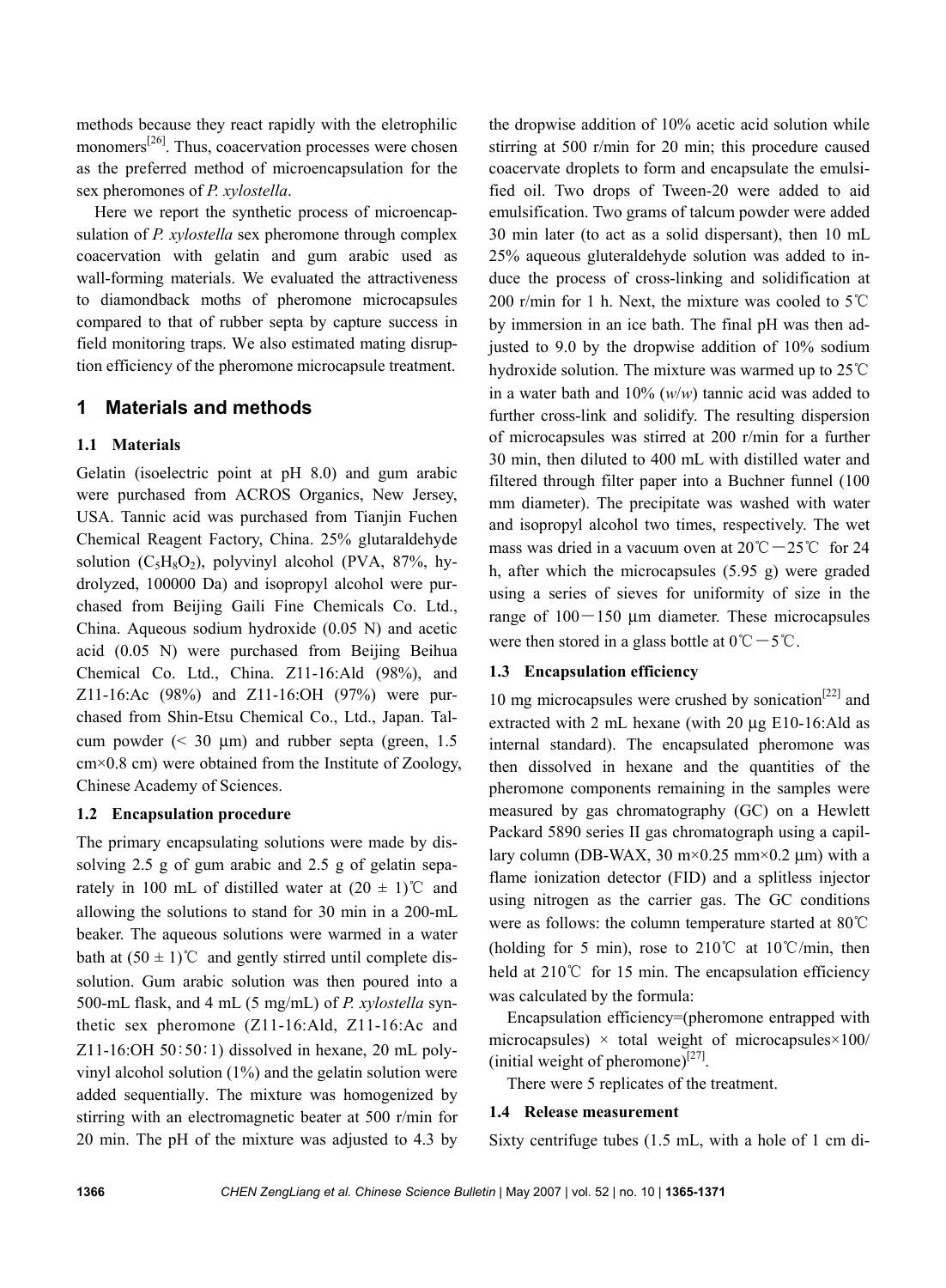methods because they react rapidly with the eletrophilic monomers $^{[26]}$ . Thus, coacervation processes were chosen as the preferred method of microencapsulation for the sex pheromones of *P. xylostella*.

Here we report the synthetic process of microencapsulation of *P. xylostella* sex pheromone through complex coacervation with gelatin and gum arabic used as wall-forming materials. We evaluated the attractiveness to diamondback moths of pheromone microcapsules compared to that of rubber septa by capture success in field monitoring traps. We also estimated mating disruption efficiency of the pheromone microcapsule treatment.

# **1 Materials and methods**

## **1.1 Materials**

Gelatin (isoelectric point at pH 8.0) and gum arabic were purchased from ACROS Organics, New Jersey, USA. Tannic acid was purchased from Tianjin Fuchen Chemical Reagent Factory, China. 25% glutaraldehyde solution  $(C_5H_8O_2)$ , polyvinyl alcohol (PVA, 87%, hydrolyzed, 100000 Da) and isopropyl alcohol were purchased from Beijing Gaili Fine Chemicals Co. Ltd., China. Aqueous sodium hydroxide (0.05 N) and acetic acid (0.05 N) were purchased from Beijing Beihua Chemical Co. Ltd., China. Z11-16:Ald (98%), and Z11-16:Ac (98%) and Z11-16:OH (97%) were purchased from Shin-Etsu Chemical Co., Ltd., Japan. Talcum powder  $($  30  $\mu$ m) and rubber septa (green, 1.5  $cm \times 0.8$  cm) were obtained from the Institute of Zoology, Chinese Academy of Sciences.

## **1.2 Encapsulation procedure**

The primary encapsulating solutions were made by dissolving 2.5 g of gum arabic and 2.5 g of gelatin separately in 100 mL of distilled water at  $(20 \pm 1)$ °C and allowing the solutions to stand for 30 min in a 200-mL beaker. The aqueous solutions were warmed in a water bath at  $(50 \pm 1)$ °C and gently stirred until complete dissolution. Gum arabic solution was then poured into a 500-mL flask, and 4 mL (5 mg/mL) of *P. xylostella* synthetic sex pheromone (Z11-16:Ald, Z11-16:Ac and Z11-16:OH 50:50:1) dissolved in hexane, 20 mL polyvinyl alcohol solution (1%) and the gelatin solution were added sequentially. The mixture was homogenized by stirring with an electromagnetic beater at 500 r/min for 20 min. The pH of the mixture was adjusted to 4.3 by

the dropwise addition of 10% acetic acid solution while stirring at 500 r/min for 20 min; this procedure caused coacervate droplets to form and encapsulate the emulsified oil. Two drops of Tween-20 were added to aid emulsification. Two grams of talcum powder were added 30 min later (to act as a solid dispersant), then 10 mL 25% aqueous gluteraldehyde solution was added to induce the process of cross-linking and solidification at 200 r/min for 1 h. Next, the mixture was cooled to 5℃ by immersion in an ice bath. The final pH was then adjusted to 9.0 by the dropwise addition of 10% sodium hydroxide solution. The mixture was warmed up to 25℃ in a water bath and 10% (*w*/*w*) tannic acid was added to further cross-link and solidify. The resulting dispersion of microcapsules was stirred at 200 r/min for a further 30 min, then diluted to 400 mL with distilled water and filtered through filter paper into a Buchner funnel (100 mm diameter). The precipitate was washed with water and isopropyl alcohol two times, respectively. The wet mass was dried in a vacuum oven at  $20^{\circ}\text{C} - 25^{\circ}\text{C}$  for 24 h, after which the microcapsules (5.95 g) were graded using a series of sieves for uniformity of size in the range of  $100 - 150$  µm diameter. These microcapsules were then stored in a glass bottle at  $0^{\circ}\text{C} - 5^{\circ}\text{C}$ .

## **1.3 Encapsulation efficiency**

10 mg microcapsules were crushed by sonication $^{[22]}$  and extracted with 2 mL hexane (with 20 μg E10-16:Ald as internal standard). The encapsulated pheromone was then dissolved in hexane and the quantities of the pheromone components remaining in the samples were measured by gas chromatography (GC) on a Hewlett Packard 5890 series II gas chromatograph using a capillary column (DB-WAX, 30 m×0.25 mm×0.2  $\mu$ m) with a flame ionization detector (FID) and a splitless injector using nitrogen as the carrier gas. The GC conditions were as follows: the column temperature started at 80℃ (holding for 5 min), rose to 210℃ at 10℃/min, then held at 210℃ for 15 min. The encapsulation efficiency was calculated by the formula:

Encapsulation efficiency=(pheromone entrapped with microcapsules)  $\times$  total weight of microcapsules $\times$ 100/ (initial weight of pheromone) $^{[27]}$ .

There were 5 replicates of the treatment.

## **1.4 Release measurement**

Sixty centrifuge tubes (1.5 mL, with a hole of 1 cm di-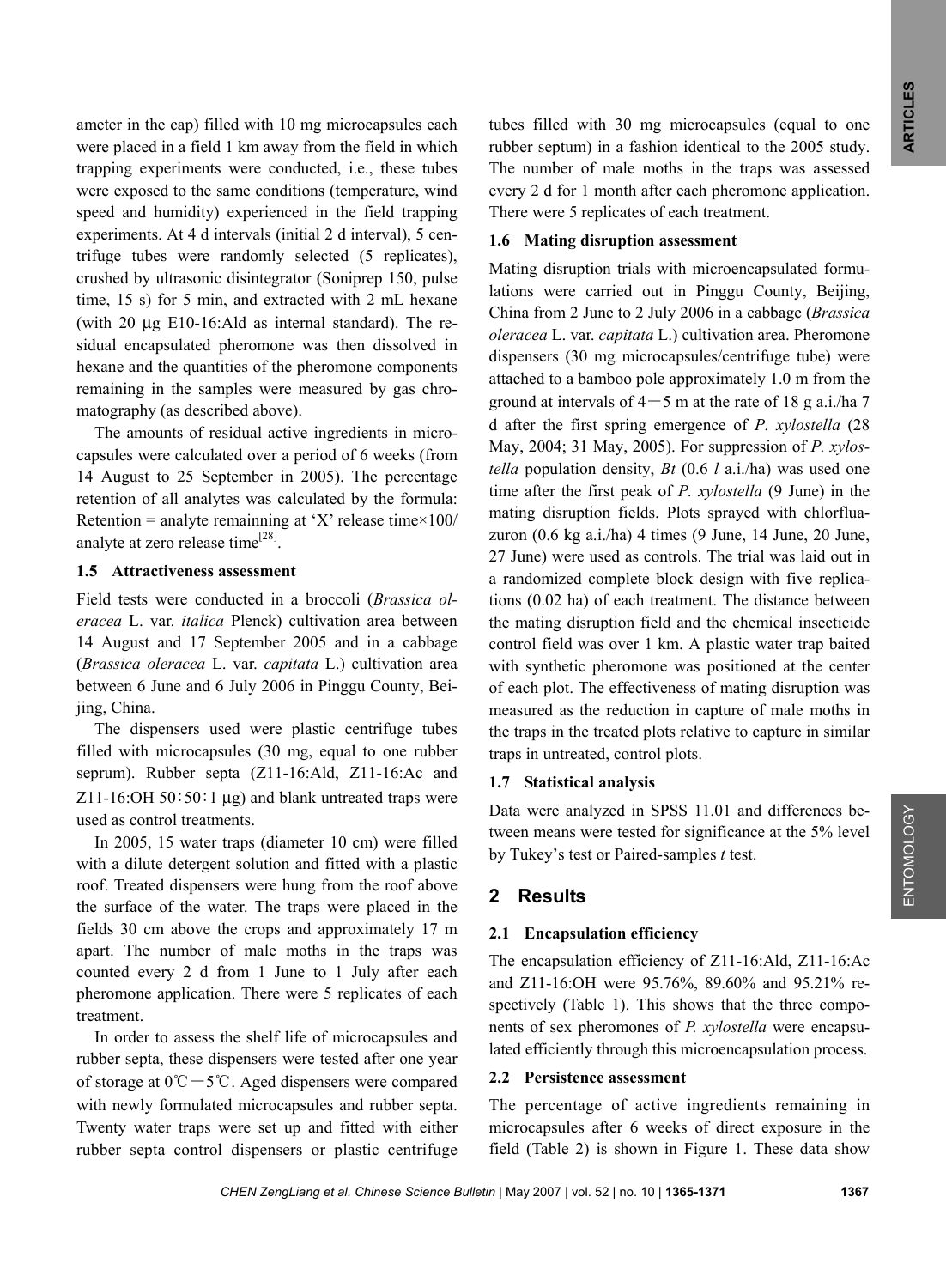ameter in the cap) filled with 10 mg microcapsules each were placed in a field 1 km away from the field in which trapping experiments were conducted, i.e., these tubes were exposed to the same conditions (temperature, wind speed and humidity) experienced in the field trapping experiments. At 4 d intervals (initial 2 d interval), 5 centrifuge tubes were randomly selected (5 replicates), crushed by ultrasonic disintegrator (Soniprep 150, pulse time, 15 s) for 5 min, and extracted with 2 mL hexane (with 20 μg E10-16:Ald as internal standard). The residual encapsulated pheromone was then dissolved in hexane and the quantities of the pheromone components remaining in the samples were measured by gas chromatography (as described above).

The amounts of residual active ingredients in microcapsules were calculated over a period of 6 weeks (from 14 August to 25 September in 2005). The percentage retention of all analytes was calculated by the formula: Retention = analyte remainning at 'X' release time $\times$ 100/ analyte at zero release time $^{[28]}$ .

## **1.5 Attractiveness assessment**

Field tests were conducted in a broccoli (*Brassica oleracea* L. var. *italica* Plenck) cultivation area between 14 August and 17 September 2005 and in a cabbage (*Brassica oleracea* L. var. *capitata* L.) cultivation area between 6 June and 6 July 2006 in Pinggu County, Beijing, China.

The dispensers used were plastic centrifuge tubes filled with microcapsules (30 mg, equal to one rubber seprum). Rubber septa (Z11-16:Ald, Z11-16:Ac and Z11-16:OH 50:50:1 μg) and blank untreated traps were used as control treatments.

In 2005, 15 water traps (diameter 10 cm) were filled with a dilute detergent solution and fitted with a plastic roof. Treated dispensers were hung from the roof above the surface of the water. The traps were placed in the fields 30 cm above the crops and approximately 17 m apart. The number of male moths in the traps was counted every 2 d from 1 June to 1 July after each pheromone application. There were 5 replicates of each treatment.

In order to assess the shelf life of microcapsules and rubber septa, these dispensers were tested after one year of storage at 0℃―5℃. Aged dispensers were compared with newly formulated microcapsules and rubber septa. Twenty water traps were set up and fitted with either rubber septa control dispensers or plastic centrifuge

tubes filled with 30 mg microcapsules (equal to one rubber septum) in a fashion identical to the 2005 study. The number of male moths in the traps was assessed every 2 d for 1 month after each pheromone application. There were 5 replicates of each treatment.

#### **1.6 Mating disruption assessment**

Mating disruption trials with microencapsulated formulations were carried out in Pinggu County, Beijing, China from 2 June to 2 July 2006 in a cabbage (*Brassica oleracea* L. var. *capitata* L.) cultivation area. Pheromone dispensers (30 mg microcapsules/centrifuge tube) were attached to a bamboo pole approximately 1.0 m from the ground at intervals of  $4-5$  m at the rate of 18 g a.i./ha 7 d after the first spring emergence of *P. xylostella* (28 May, 2004; 31 May, 2005). For suppression of *P. xylostella* population density, *Bt* (0.6 *l* a.i./ha) was used one time after the first peak of *P. xylostella* (9 June) in the mating disruption fields. Plots sprayed with chlorfluazuron (0.6 kg a.i./ha) 4 times (9 June, 14 June, 20 June, 27 June) were used as controls. The trial was laid out in a randomized complete block design with five replications (0.02 ha) of each treatment. The distance between the mating disruption field and the chemical insecticide control field was over 1 km. A plastic water trap baited with synthetic pheromone was positioned at the center of each plot. The effectiveness of mating disruption was measured as the reduction in capture of male moths in the traps in the treated plots relative to capture in similar traps in untreated, control plots.

## **1.7 Statistical analysis**

Data were analyzed in SPSS 11.01 and differences between means were tested for significance at the 5% level by Tukey's test or Paired-samples *t* test.

# **2 Results**

## **2.1 Encapsulation efficiency**

The encapsulation efficiency of Z11-16:Ald, Z11-16:Ac and Z11-16:OH were 95.76%, 89.60% and 95.21% respectively (Table 1). This shows that the three components of sex pheromones of *P. xylostella* were encapsulated efficiently through this microencapsulation process.

## **2.2 Persistence assessment**

The percentage of active ingredients remaining in microcapsules after 6 weeks of direct exposure in the field (Table 2) is shown in Figure 1. These data show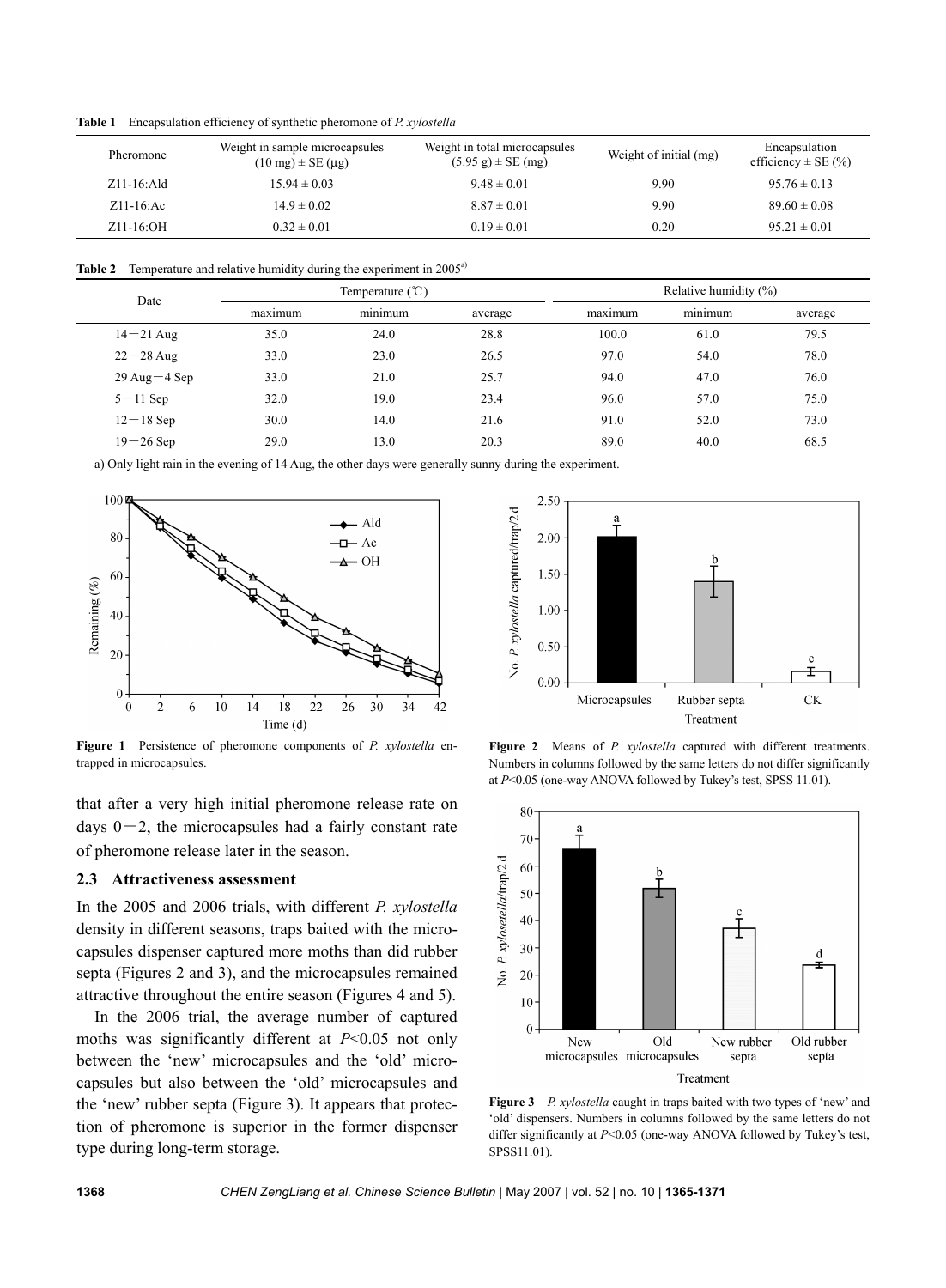**Table 1** Encapsulation efficiency of synthetic pheromone of *P. xylostella*

| Pheromone      | Weight in sample microcapsules<br>$(10 \text{ mg}) \pm \text{SE}$ (µg) | Weight in total microcapsules<br>$(5.95 \text{ g}) \pm \text{SE (mg)}$ | Weight of initial (mg) | Encapsulation<br>efficiency $\pm$ SE (%) |
|----------------|------------------------------------------------------------------------|------------------------------------------------------------------------|------------------------|------------------------------------------|
| $Z11-16$ : Ald | $15.94 \pm 0.03$                                                       | $9.48 \pm 0.01$                                                        | 9.90                   | $95.76 \pm 0.13$                         |
| $Z11-16$ : Ac  | $14.9 \pm 0.02$                                                        | $8.87 \pm 0.01$                                                        | 9.90                   | $89.60 \pm 0.08$                         |
| $Z11-16:OH$    | $0.32 \pm 0.01$                                                        | $0.19 \pm 0.01$                                                        | 0.20                   | $95.21 \pm 0.01$                         |

Table 2 Temperature and relative humidity during the experiment in 2005<sup>a)</sup>

| Date              | Temperature $({\degree}C)$ |                   | Relative humidity $(\%)$ |                   |                     |         |
|-------------------|----------------------------|-------------------|--------------------------|-------------------|---------------------|---------|
|                   | $\sim$<br>maximum          | $\sim$<br>minimum | average                  | $\sim$<br>maximum | $\cdots$<br>minimum | average |
| $14 - 21$ Aug     | 35.0                       | 24.0              | 28.8                     | 100.0             | 61.0                | 79.5    |
| $22 - 28$ Aug     | 33.0                       | 23.0              | 26.5                     | 97.0              | 54.0                | 78.0    |
| $29$ Aug $-4$ Sep | 33.0                       | 21.0              | 25.7                     | 94.0              | 47.0                | 76.0    |
| $5 - 11$ Sep      | 32.0                       | 19.0              | 23.4                     | 96.0              | 57.0                | 75.0    |
| $12 - 18$ Sep     | 30.0                       | 14.0              | 21.6                     | 91.0              | 52.0                | 73.0    |
| $19 - 26$ Sep     | 29.0                       | 13.0              | 20.3                     | 89.0              | 40.0                | 68.5    |

a) Only light rain in the evening of 14 Aug, the other days were generally sunny during the experiment.



**Figure 1** Persistence of pheromone components of *P. xylostella* entrapped in microcapsules.

that after a very high initial pheromone release rate on days  $0-2$ , the microcapsules had a fairly constant rate of pheromone release later in the season.

#### **2.3 Attractiveness assessment**

In the 2005 and 2006 trials, with different *P. xylostella* density in different seasons, traps baited with the microcapsules dispenser captured more moths than did rubber septa (Figures 2 and 3), and the microcapsules remained attractive throughout the entire season (Figures 4 and 5).

In the 2006 trial, the average number of captured moths was significantly different at *P*<0.05 not only between the 'new' microcapsules and the 'old' microcapsules but also between the 'old' microcapsules and the 'new' rubber septa (Figure 3). It appears that protection of pheromone is superior in the former dispenser type during long-term storage.



**Figure 2** Means of *P. xylostella* captured with different treatments. Numbers in columns followed by the same letters do not differ significantly at *P*<0.05 (one-way ANOVA followed by Tukey's test, SPSS 11.01).



**Figure 3** *P. xylostella* caught in traps baited with two types of 'new' and 'old' dispensers. Numbers in columns followed by the same letters do not differ significantly at *P*<0.05 (one-way ANOVA followed by Tukey's test, SPSS11.01).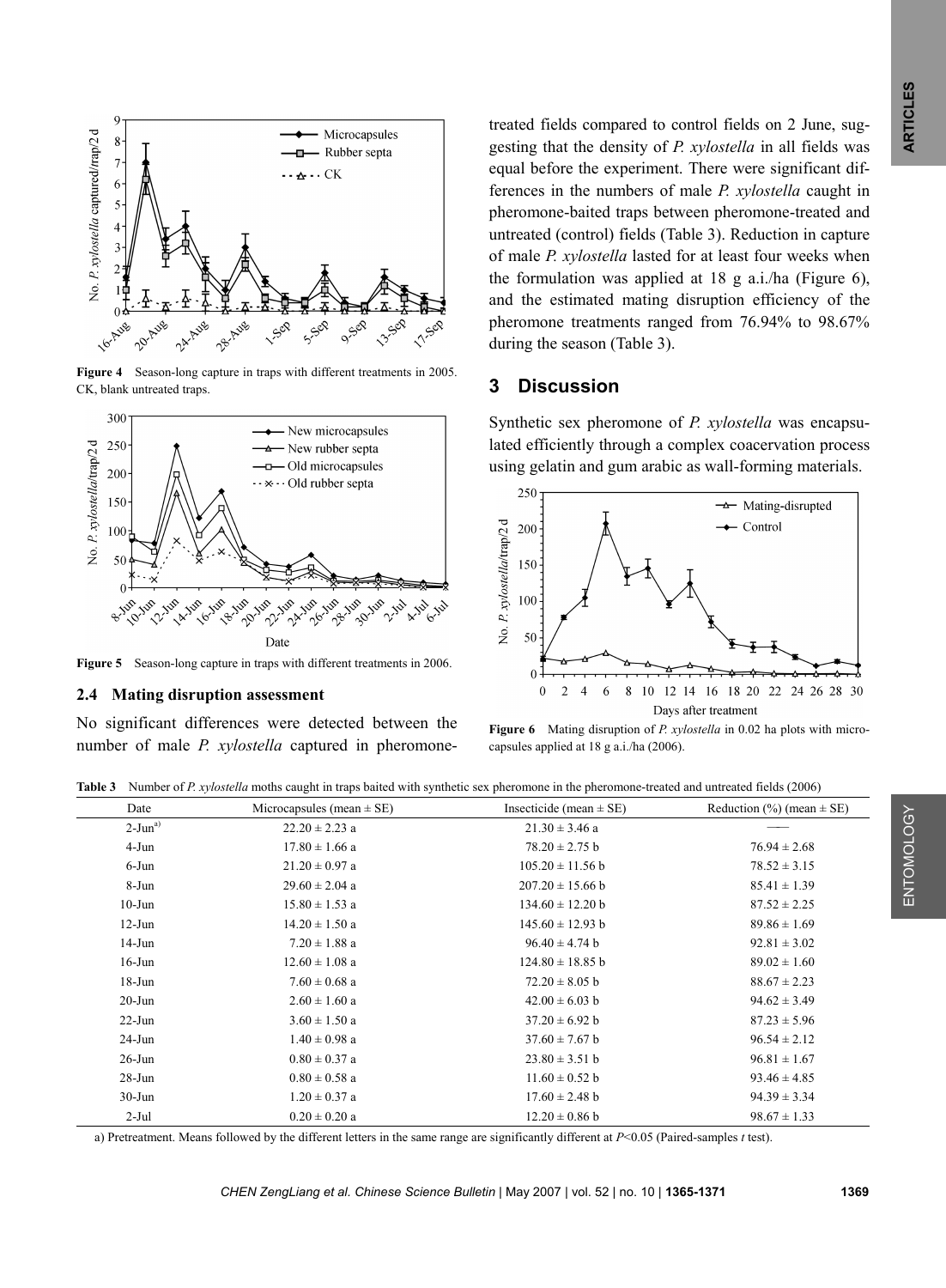

**Figure 4** Season-long capture in traps with different treatments in 2005. CK, blank untreated traps.



**Figure 5** Season-long capture in traps with different treatments in 2006.

#### **2.4 Mating disruption assessment**

No significant differences were detected between the number of male *P. xylostella* captured in pheromone-

treated fields compared to control fields on 2 June, suggesting that the density of *P. xylostella* in all fields was equal before the experiment. There were significant differences in the numbers of male *P. xylostella* caught in pheromone-baited traps between pheromone-treated and untreated (control) fields (Table 3). Reduction in capture of male *P. xylostella* lasted for at least four weeks when the formulation was applied at  $18 \text{ g a.i./ha (Figure 6)}$ , and the estimated mating disruption efficiency of the pheromone treatments ranged from 76.94% to 98.67% during the season (Table 3).

## **3 Discussion**

Synthetic sex pheromone of *P. xylostella* was encapsulated efficiently through a complex coacervation process using gelatin and gum arabic as wall-forming materials.



**Figure 6** Mating disruption of *P. xylostella* in 0.02 ha plots with microcapsules applied at 18 g a.i./ha (2006).

**Table 3** Number of *P. xylostella* moths caught in traps baited with synthetic sex pheromone in the pheromone-treated and untreated fields (2006)

| <b>There</b> is a more of F, <i>a fosteria</i> mone caught in taps saled with synthetic sex pheromone in the pheromone treated and anticated Heras (2000) |                               |                             |                                         |  |  |
|-----------------------------------------------------------------------------------------------------------------------------------------------------------|-------------------------------|-----------------------------|-----------------------------------------|--|--|
| Date                                                                                                                                                      | Microcapsules (mean $\pm$ SE) | Insecticide (mean $\pm$ SE) | Reduction $\frac{9}{6}$ (mean $\pm$ SE) |  |  |
| $2-Jun^{a}$                                                                                                                                               | $22.20 \pm 2.23$ a            | $21.30 \pm 3.46$ a          |                                         |  |  |
| 4-Jun                                                                                                                                                     | $17.80 \pm 1.66$ a            | $78.20 \pm 2.75$ b          | $76.94 \pm 2.68$                        |  |  |
| 6-Jun                                                                                                                                                     | $21.20 \pm 0.97$ a            | $105.20 \pm 11.56$ b        | $78.52 \pm 3.15$                        |  |  |
| 8-Jun                                                                                                                                                     | $29.60 \pm 2.04$ a            | $207.20 \pm 15.66$ b        | $85.41 \pm 1.39$                        |  |  |
| $10 - Jun$                                                                                                                                                | $15.80 \pm 1.53$ a            | $134.60 \pm 12.20$ b        | $87.52 \pm 2.25$                        |  |  |
| $12-Jun$                                                                                                                                                  | $14.20 \pm 1.50$ a            | $145.60 \pm 12.93 b$        | $89.86 \pm 1.69$                        |  |  |
| $14-Jun$                                                                                                                                                  | $7.20 \pm 1.88$ a             | $96.40 \pm 4.74$ b          | $92.81 \pm 3.02$                        |  |  |
| $16$ -Jun                                                                                                                                                 | $12.60 \pm 1.08$ a            | $124.80 \pm 18.85$ b        | $89.02 \pm 1.60$                        |  |  |
| $18 - Jun$                                                                                                                                                | $7.60 \pm 0.68$ a             | $72.20 \pm 8.05$ b          | $88.67 \pm 2.23$                        |  |  |
| $20 - Jun$                                                                                                                                                | $2.60 \pm 1.60$ a             | $42.00 \pm 6.03$ b          | $94.62 \pm 3.49$                        |  |  |
| $22-Jun$                                                                                                                                                  | $3.60 \pm 1.50$ a             | $37.20 \pm 6.92$ b          | $87.23 \pm 5.96$                        |  |  |
| $24$ -Jun                                                                                                                                                 | $1.40 \pm 0.98$ a             | $37.60 \pm 7.67$ b          | $96.54 \pm 2.12$                        |  |  |
| $26$ -Jun                                                                                                                                                 | $0.80 \pm 0.37$ a             | $23.80 \pm 3.51$ b          | $96.81 \pm 1.67$                        |  |  |
| $28 - Jun$                                                                                                                                                | $0.80 \pm 0.58$ a             | $11.60 \pm 0.52$ b          | $93.46 \pm 4.85$                        |  |  |
| $30 - Jun$                                                                                                                                                | $1.20 \pm 0.37$ a             | $17.60 \pm 2.48$ b          | $94.39 \pm 3.34$                        |  |  |
| $2-Jul$                                                                                                                                                   | $0.20 \pm 0.20$ a             | $12.20 \pm 0.86$ b          | $98.67 \pm 1.33$                        |  |  |

a) Pretreatment. Means followed by the different letters in the same range are significantly different at *P*<0.05 (Paired-samples *t* test).

ENTOMOLOGY

ENTOMOLOGY

**ARTICLES** 

ARTICLES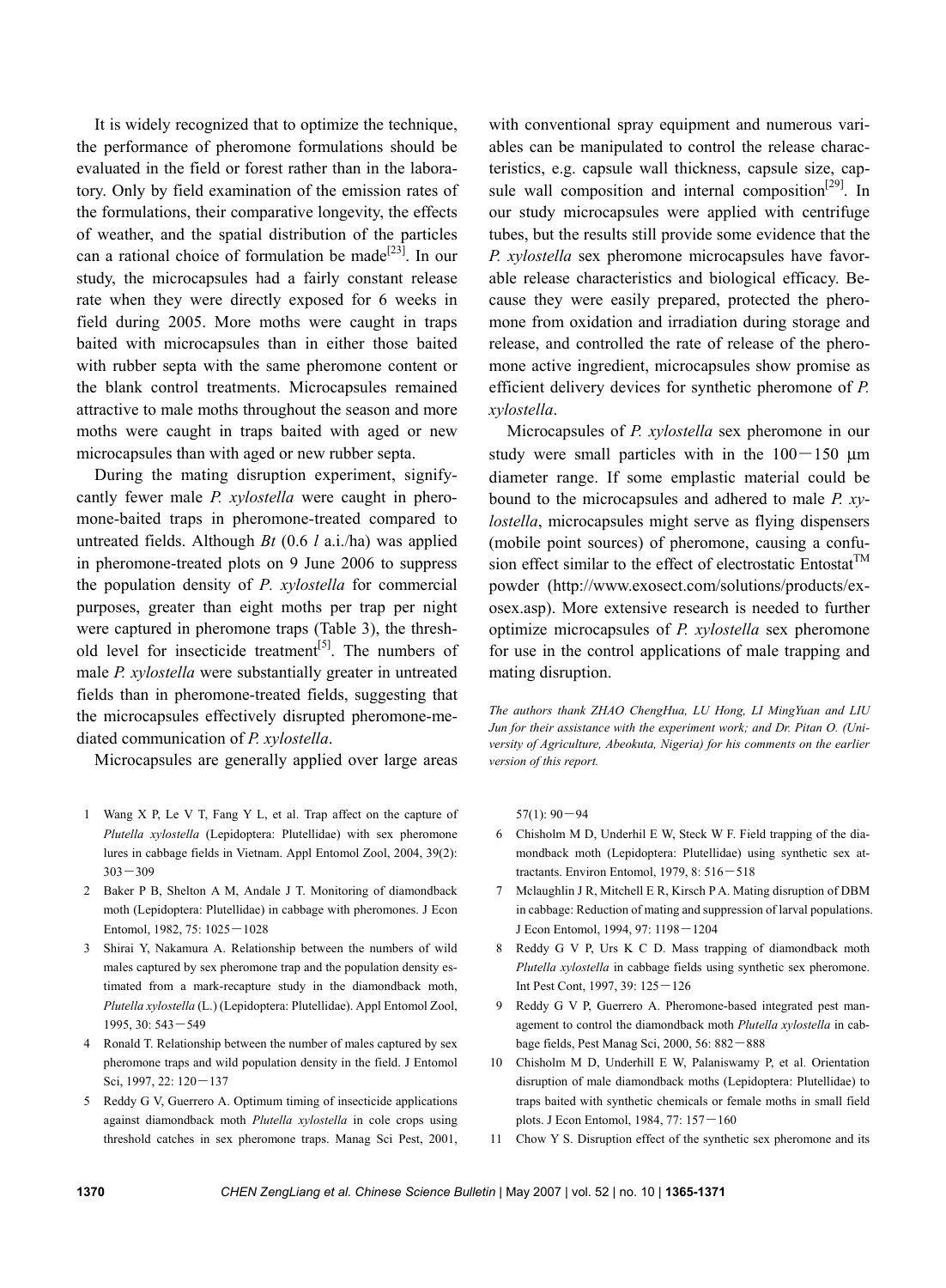It is widely recognized that to optimize the technique, the performance of pheromone formulations should be evaluated in the field or forest rather than in the laboratory. Only by field examination of the emission rates of the formulations, their comparative longevity, the effects of weather, and the spatial distribution of the particles can a rational choice of formulation be made<sup>[23]</sup>. In our study, the microcapsules had a fairly constant release rate when they were directly exposed for 6 weeks in field during 2005. More moths were caught in traps baited with microcapsules than in either those baited with rubber septa with the same pheromone content or the blank control treatments. Microcapsules remained attractive to male moths throughout the season and more moths were caught in traps baited with aged or new microcapsules than with aged or new rubber septa.

During the mating disruption experiment, signifycantly fewer male *P. xylostella* were caught in pheromone-baited traps in pheromone-treated compared to untreated fields. Although *Bt* (0.6 *l* a.i./ha) was applied in pheromone-treated plots on 9 June 2006 to suppress the population density of *P. xylostella* for commercial purposes, greater than eight moths per trap per night were captured in pheromone traps (Table 3), the threshold level for insecticide treatment<sup>[5]</sup>. The numbers of male *P. xylostella* were substantially greater in untreated fields than in pheromone-treated fields, suggesting that the microcapsules effectively disrupted pheromone-mediated communication of *P. xylostella*.

Microcapsules are generally applied over large areas

- 1 Wang X P, Le V T, Fang Y L, et al. Trap affect on the capture of *Plutella xylostella* (Lepidoptera: Plutellidae) with sex pheromone lures in cabbage fields in Vietnam. Appl Entomol Zool, 2004, 39(2): 303―309
- 2 Baker P B, Shelton A M, Andale J T. Monitoring of diamondback moth (Lepidoptera: Plutellidae) in cabbage with pheromones. J Econ Entomol, 1982, 75: 1025―1028
- 3 Shirai Y, Nakamura A. Relationship between the numbers of wild males captured by sex pheromone trap and the population density estimated from a mark-recapture study in the diamondback moth, *Plutella xylostella* (L.) (Lepidoptera: Plutellidae). Appl Entomol Zool, 1995, 30: 543―549
- 4 Ronald T. Relationship between the number of males captured by sex pheromone traps and wild population density in the field. J Entomol Sci, 1997, 22: 120―137
- 5 Reddy G V, Guerrero A. Optimum timing of insecticide applications against diamondback moth *Plutella xylostella* in cole crops using threshold catches in sex pheromone traps. Manag Sci Pest, 2001,

with conventional spray equipment and numerous variables can be manipulated to control the release characteristics, e.g. capsule wall thickness, capsule size, capsule wall composition and internal composition<sup>[29]</sup>. In our study microcapsules were applied with centrifuge tubes, but the results still provide some evidence that the *P. xylostella* sex pheromone microcapsules have favorable release characteristics and biological efficacy. Because they were easily prepared, protected the pheromone from oxidation and irradiation during storage and release, and controlled the rate of release of the pheromone active ingredient, microcapsules show promise as efficient delivery devices for synthetic pheromone of *P. xylostella*.

Microcapsules of *P. xylostella* sex pheromone in our study were small particles with in the  $100-150 \mu m$ diameter range. If some emplastic material could be bound to the microcapsules and adhered to male *P. xylostella*, microcapsules might serve as flying dispensers (mobile point sources) of pheromone, causing a confusion effect similar to the effect of electrostatic Entostat<sup>TM</sup> powder (http://www.exosect.com/solutions/products/exosex.asp). More extensive research is needed to further optimize microcapsules of *P. xylostella* sex pheromone for use in the control applications of male trapping and mating disruption.

*The authors thank ZHAO ChengHua, LU Hong, LI MingYuan and LIU Jun for their assistance with the experiment work; and Dr. Pitan O. (University of Agriculture, Abeokuta, Nigeria) for his comments on the earlier version of this report.*

57(1): 90―94

- 6 Chisholm M D, Underhil E W, Steck W F. Field trapping of the diamondback moth (Lepidoptera: Plutellidae) using synthetic sex attractants. Environ Entomol, 1979, 8: 516―518
- 7 Mclaughlin J R, Mitchell E R, Kirsch P A. Mating disruption of DBM in cabbage: Reduction of mating and suppression of larval populations. J Econ Entomol, 1994, 97: 1198―1204
- 8 Reddy G V P, Urs K C D. Mass trapping of diamondback moth *Plutella xylostella* in cabbage fields using synthetic sex pheromone. Int Pest Cont, 1997, 39: 125―126
- 9 Reddy G V P, Guerrero A. Pheromone-based integrated pest management to control the diamondback moth *Plutella xylostella* in cabbage fields, Pest Manag Sci, 2000, 56: 882―888
- 10 Chisholm M D, Underhill E W, Palaniswamy P, et al. Orientation disruption of male diamondback moths (Lepidoptera: Plutellidae) to traps baited with synthetic chemicals or female moths in small field plots. J Econ Entomol, 1984, 77: 157―160
- 11 Chow Y S. Disruption effect of the synthetic sex pheromone and its